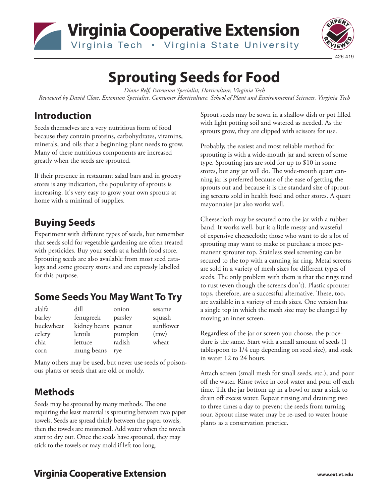



# **Sprouting Seeds for Food**

*Diane Relf, Extension Specialist, Horticulture, Virginia Tech Reviewed by David Close, Extension Specialist, Consumer Horticulture, School of Plant and Environmental Sciences, Virginia Tech*

#### **Introduction**

Seeds themselves are a very nutritious form of food because they contain proteins, carbohydrates, vitamins, minerals, and oils that a beginning plant needs to grow. Many of these nutritious components are increased greatly when the seeds are sprouted.

If their presence in restaurant salad bars and in grocery stores is any indication, the popularity of sprouts is increasing. It's very easy to grow your own sprouts at home with a minimal of supplies.

# **Buying Seeds**

Experiment with different types of seeds, but remember that seeds sold for vegetable gardening are often treated with pesticides. Buy your seeds at a health food store. Sprouting seeds are also available from most seed catalogs and some grocery stores and are expressly labelled for this purpose.

# **Some Seeds You May Want To Try**

| alalfa    | dill                | onion   | sesame         |
|-----------|---------------------|---------|----------------|
| barley    | fenugreek           | parsley | squash         |
| buckwheat | kidney beans peanut |         | sunflower      |
| celery    | lentils             | pumpkin | $\text{(raw)}$ |
| chia      | lettuce             | radish  | wheat          |
| corn      | mung beans          | rve     |                |

Many others may be used, but never use seeds of poisonous plants or seeds that are old or moldy.

## **Methods**

Seeds may be sprouted by many methods. The one requiring the least material is sprouting between two paper towels. Seeds are spread thinly between the paper towels, then the towels are moistened. Add water when the towels start to dry out. Once the seeds have sprouted, they may stick to the towels or may mold if left too long.

Sprout seeds may be sown in a shallow dish or pot filled with light potting soil and watered as needed. As the sprouts grow, they are clipped with scissors for use.

Probably, the easiest and most reliable method for sprouting is with a wide-mouth jar and screen of some type. Sprouting jars are sold for up to \$10 in some stores, but any jar will do. The wide-mouth quart canning jar is preferred because of the ease of getting the sprouts out and because it is the standard size of sprouting screens sold in health food and other stores. A quart mayonnaise jar also works well.

Cheesecloth may be secured onto the jar with a rubber band. It works well, but is a little messy and wasteful of expensive cheesecloth; those who want to do a lot of sprouting may want to make or purchase a more permanent sprouter top. Stainless steel screening can be secured to the top with a canning jar ring. Metal screens are sold in a variety of mesh sizes for different types of seeds. The only problem with them is that the rings tend to rust (even though the screens don't). Plastic sprouter tops, therefore, are a successful alternative. These, too, are available in a variety of mesh sizes. One version has a single top in which the mesh size may be changed by moving an inner screen.

Regardless of the jar or screen you choose, the procedure is the same. Start with a small amount of seeds (1 tablespoon to 1/4 cup depending on seed size), and soak in water 12 to 24 hours.

Attach screen (small mesh for small seeds, etc.), and pour off the water. Rinse twice in cool water and pour off each time. Tilt the jar bottom up in a bowl or near a sink to drain off excess water. Repeat rinsing and draining two to three times a day to prevent the seeds from turning sour. Sprout rinse water may be re-used to water house plants as a conservation practice.

## **Virginia Cooperative Extension**